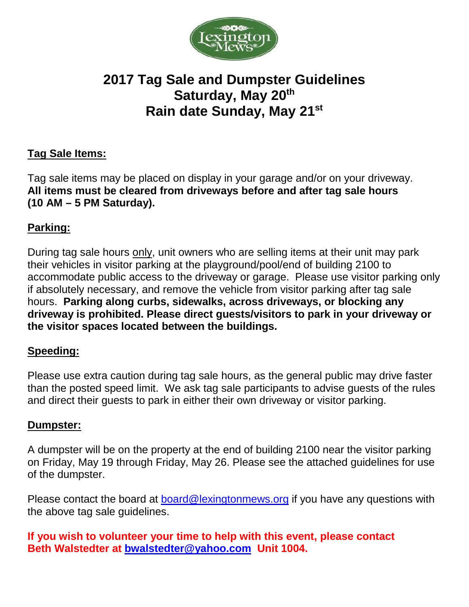

# **2017 Tag Sale and Dumpster Guidelines** Saturday, May 20<sup>th</sup> **Rain date Sunday, May 21st**

# **Tag Sale Items:**

Tag sale items may be placed on display in your garage and/or on your driveway. **All items must be cleared from driveways before and after tag sale hours (10 AM – 5 PM Saturday).**

## **Parking:**

During tag sale hours only, unit owners who are selling items at their unit may park their vehicles in visitor parking at the playground/pool/end of building 2100 to accommodate public access to the driveway or garage. Please use visitor parking only if absolutely necessary, and remove the vehicle from visitor parking after tag sale hours. **Parking along curbs, sidewalks, across driveways, or blocking any driveway is prohibited. Please direct guests/visitors to park in your driveway or the visitor spaces located between the buildings.** 

### **Speeding:**

Please use extra caution during tag sale hours, as the general public may drive faster than the posted speed limit. We ask tag sale participants to advise guests of the rules and direct their guests to park in either their own driveway or visitor parking.

### **Dumpster:**

A dumpster will be on the property at the end of building 2100 near the visitor parking on Friday, May 19 through Friday, May 26. Please see the attached guidelines for use of the dumpster.

Please contact the board at [board@lexingtonmews.org](mailto:board@lexingtonmews.org) if you have any questions with the above tag sale guidelines.

**If you wish to volunteer your time to help with this event, please contact Beth Walstedter at [bwalstedter@yahoo.com](mailto:bwalstedter@yahoo.com) Unit 1004.**